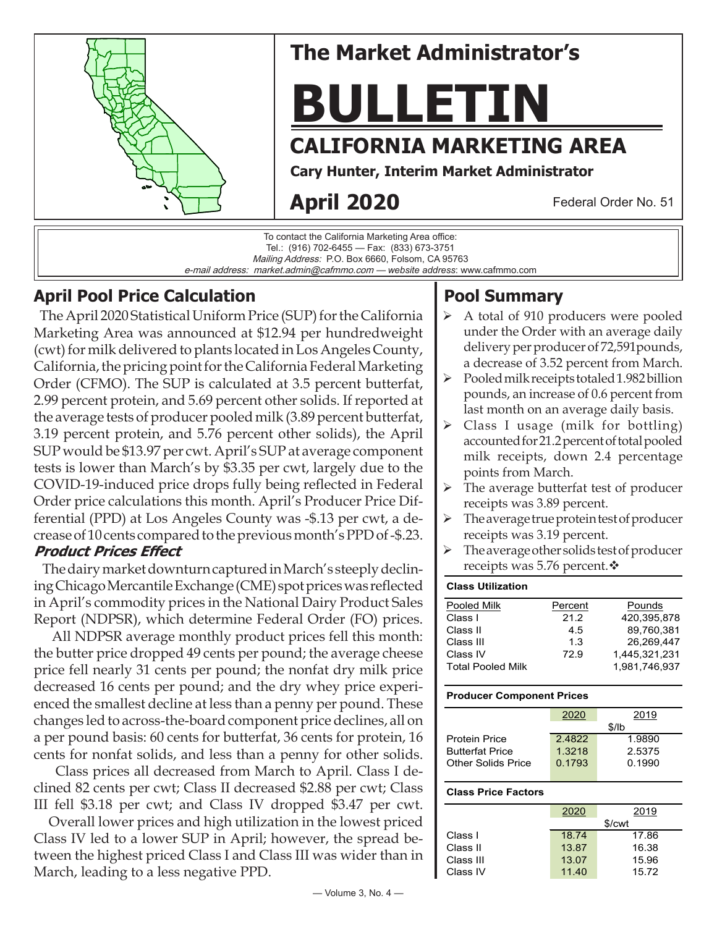

To contact the California Marketing Area office: Tel.: (916) 702-6455 — Fax: (833) 673-3751 Mailing Address: P.O. Box 6660, Folsom, CA 95763 e-mail address: market.admin@cafmmo.com — *website address*: www.cafmmo.com

## **April Pool Price Calculation**

 The April 2020 Statistical Uniform Price (SUP) for the California Marketing Area was announced at \$12.94 per hundredweight (cwt) for milk delivered to plants located in Los Angeles County, California, the pricing point for the California Federal Marketing Order (CFMO). The SUP is calculated at 3.5 percent butterfat, 2.99 percent protein, and 5.69 percent other solids. If reported at the average tests of producer pooled milk (3.89 percent butterfat, 3.19 percent protein, and 5.76 percent other solids), the April SUP would be \$13.97 per cwt. April's SUP at average component tests is lower than March's by \$3.35 per cwt, largely due to the COVID-19-induced price drops fully being reflected in Federal Order price calculations this month. April's Producer Price Differential (PPD) at Los Angeles County was -\$.13 per cwt, a decrease of 10 cents compared to the previous month's PPD of -\$.23. **Product Prices Effect**

 The dairy market downturn captured in March's steeply declining Chicago Mercantile Exchange (CME) spot prices was reflected in April's commodity prices in the National Dairy Product Sales Report (NDPSR), which determine Federal Order (FO) prices.

 All NDPSR average monthly product prices fell this month: the butter price dropped 49 cents per pound; the average cheese price fell nearly 31 cents per pound; the nonfat dry milk price decreased 16 cents per pound; and the dry whey price experienced the smallest decline at less than a penny per pound. These changes led to across-the-board component price declines, all on a per pound basis: 60 cents for butterfat, 36 cents for protein, 16 cents for nonfat solids, and less than a penny for other solids.

 Class prices all decreased from March to April. Class I declined 82 cents per cwt; Class II decreased \$2.88 per cwt; Class III fell \$3.18 per cwt; and Class IV dropped \$3.47 per cwt.

 Overall lower prices and high utilization in the lowest priced Class IV led to a lower SUP in April; however, the spread between the highest priced Class I and Class III was wider than in March, leading to a less negative PPD.

# **Pool Summary**

- A total of 910 producers were pooled under the Order with an average daily delivery per producer of 72,591pounds, a decrease of 3.52 percent from March.
- Pooled milk receipts totaled 1.982 billion pounds, an increase of 0.6 percent from last month on an average daily basis.
- Class I usage (milk for bottling) accounted for 21.2 percent of total pooled milk receipts, down 2.4 percentage points from March.
- $\triangleright$  The average butterfat test of producer receipts was 3.89 percent.
- The average true protein test of producer receipts was 3.19 percent.
- $\triangleright$  The average other solids test of producer receipts was 5.76 percent. $\mathbf{\hat{v}}$

### **Class Utilization**

| Pooled Milk              | Percent | Pounds        |
|--------------------------|---------|---------------|
| Class I                  | 21.2    | 420.395.878   |
| Class II                 | 4.5     | 89.760.381    |
| Class III                | 1.3     | 26,269,447    |
| Class IV                 | 72.9    | 1.445.321.231 |
| <b>Total Pooled Milk</b> |         | 1.981.746.937 |

#### **Producer Component Prices**

|                        | 2020   | 2019   |  |
|------------------------|--------|--------|--|
|                        | \$/lb  |        |  |
| <b>Protein Price</b>   | 24822  | 1.9890 |  |
| <b>Butterfat Price</b> | 1.3218 | 2.5375 |  |
| Other Solids Price     | 0.1793 | 0.1990 |  |
|                        |        |        |  |

#### **Class Price Factors**

|           | 2020  | 2019               |
|-----------|-------|--------------------|
|           |       | \$/ <sub>cut</sub> |
| Class I   | 18.74 | 17.86              |
| Class II  | 13.87 | 16.38              |
| Class III | 13.07 | 15.96              |
| Class IV  | 11.40 | 15.72              |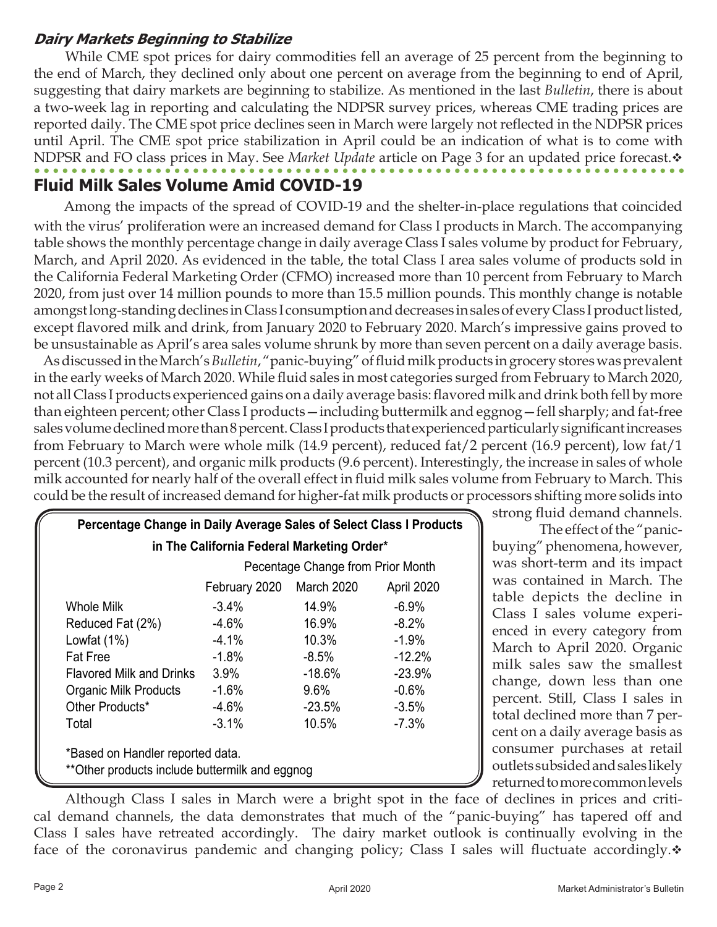### **Dairy Markets Beginning to Stabilize**

 While CME spot prices for dairy commodities fell an average of 25 percent from the beginning to the end of March, they declined only about one percent on average from the beginning to end of April, suggesting that dairy markets are beginning to stabilize. As mentioned in the last *Bulletin*, there is about a two-week lag in reporting and calculating the NDPSR survey prices, whereas CME trading prices are reported daily. The CME spot price declines seen in March were largely not reflected in the NDPSR prices until April. The CME spot price stabilization in April could be an indication of what is to come with NDPSR and FO class prices in May. See *Market Update* article on Page 3 for an updated price forecast.  $\bullet$ 

# **Fluid Milk Sales Volume Amid COVID-19**

Among the impacts of the spread of COVID-19 and the shelter-in-place regulations that coincided with the virus' proliferation were an increased demand for Class I products in March. The accompanying table shows the monthly percentage change in daily average Class I sales volume by product for February, March, and April 2020. As evidenced in the table, the total Class I area sales volume of products sold in the California Federal Marketing Order (CFMO) increased more than 10 percent from February to March 2020, from just over 14 million pounds to more than 15.5 million pounds. This monthly change is notable amongst long-standing declines in Class I consumption and decreases in sales of every Class I product listed, except flavored milk and drink, from January 2020 to February 2020. March's impressive gains proved to be unsustainable as April's area sales volume shrunk by more than seven percent on a daily average basis.

 As discussed in the March's *Bulletin*, "panic-buying" of fluid milk products in grocery stores was prevalent in the early weeks of March 2020. While fluid sales in most categories surged from February to March 2020, not all Class I products experienced gains on a daily average basis: flavored milk and drink both fell by more than eighteen percent; other Class I products—including buttermilk and eggnog—fell sharply; and fat-free sales volume declined more than 8 percent. Class I products that experienced particularly significant increases from February to March were whole milk (14.9 percent), reduced fat/2 percent (16.9 percent), low fat/1 percent (10.3 percent), and organic milk products (9.6 percent). Interestingly, the increase in sales of whole milk accounted for nearly half of the overall effect in fluid milk sales volume from February to March. This could be the result of increased demand for higher-fat milk products or processors shifting more solids into

| Percentage Change in Daily Average Sales of Select Class I Products                |                                   |            |            |  |  |
|------------------------------------------------------------------------------------|-----------------------------------|------------|------------|--|--|
| in The California Federal Marketing Order*                                         |                                   |            |            |  |  |
|                                                                                    | Pecentage Change from Prior Month |            |            |  |  |
|                                                                                    | February 2020                     | March 2020 | April 2020 |  |  |
| Whole Milk                                                                         | $-3.4\%$                          | 14.9%      | $-6.9\%$   |  |  |
| Reduced Fat (2%)                                                                   | $-4.6\%$                          | 16.9%      | $-8.2\%$   |  |  |
| Lowfat $(1%)$                                                                      | $-4.1%$                           | 10.3%      | $-1.9%$    |  |  |
| <b>Fat Free</b>                                                                    | $-1.8%$                           | $-8.5\%$   | $-12.2%$   |  |  |
| Flavored Milk and Drinks                                                           | $3.9\%$                           | -18.6%     | $-23.9%$   |  |  |
| <b>Organic Milk Products</b>                                                       | $-1.6%$                           | $9.6\%$    | $-0.6%$    |  |  |
| Other Products*                                                                    | $-4.6%$                           | $-23.5%$   | $-3.5%$    |  |  |
| Total                                                                              | $-3.1%$                           | 10.5%      | $-7.3%$    |  |  |
| *Based on Handler reported data.<br>**Other products include buttermilk and eggnog |                                   |            |            |  |  |

strong fluid demand channels.

 The effect of the "panicbuying" phenomena, however, was short-term and its impact was contained in March. The table depicts the decline in Class I sales volume experienced in every category from March to April 2020. Organic milk sales saw the smallest change, down less than one percent. Still, Class I sales in total declined more than 7 percent on a daily average basis as consumer purchases at retail outlets subsided and sales likely returned to more common levels

 Although Class I sales in March were a bright spot in the face of declines in prices and critical demand channels, the data demonstrates that much of the "panic-buying" has tapered off and Class I sales have retreated accordingly. The dairy market outlook is continually evolving in the face of the coronavirus pandemic and changing policy; Class I sales will fluctuate accordingly. $\dot{\mathbf{v}}$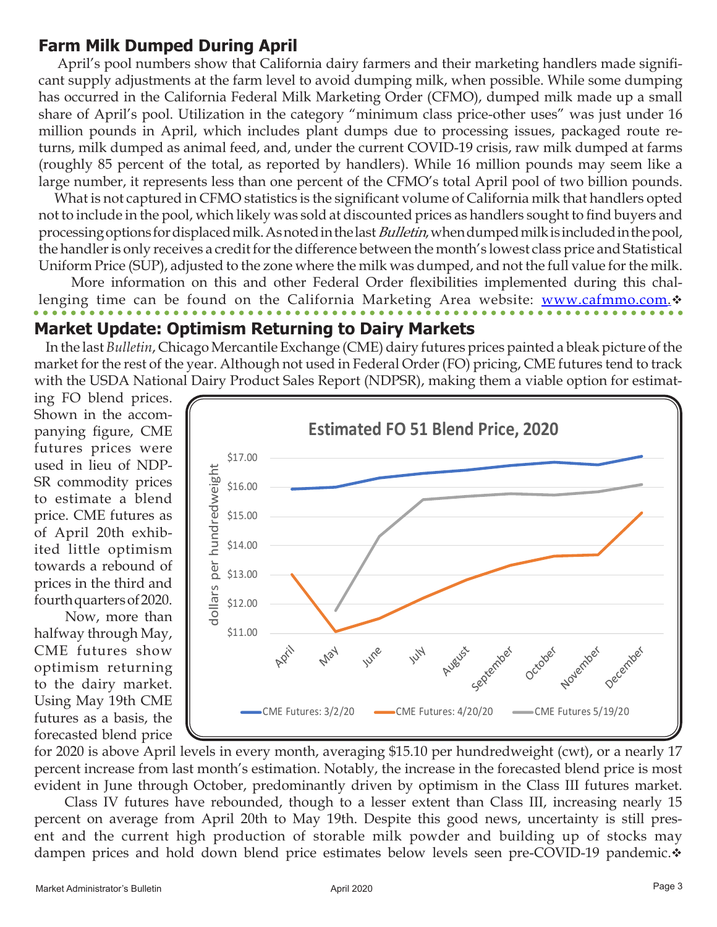## **Farm Milk Dumped During April**

 April's pool numbers show that California dairy farmers and their marketing handlers made significant supply adjustments at the farm level to avoid dumping milk, when possible. While some dumping has occurred in the California Federal Milk Marketing Order (CFMO), dumped milk made up a small share of April's pool. Utilization in the category "minimum class price-other uses" was just under 16 million pounds in April, which includes plant dumps due to processing issues, packaged route returns, milk dumped as animal feed, and, under the current COVID-19 crisis, raw milk dumped at farms (roughly 85 percent of the total, as reported by handlers). While 16 million pounds may seem like a large number, it represents less than one percent of the CFMO's total April pool of two billion pounds.

 What is not captured in CFMO statistics is the significant volume of California milk that handlers opted not to include in the pool, which likely was sold at discounted prices as handlers sought to find buyers and processing options for displaced milk. As noted in the last Bulletin, when dumped milk is included in the pool, the handler is only receives a credit for the difference between the month's lowest class price and Statistical Uniform Price (SUP), adjusted to the zone where the milk was dumped, and not the full value for the milk.

 More information on this and other Federal Order flexibilities implemented during this challenging time can be found on the California Marketing Area website: [www.cafmmo.com](http://www.cafmmo.com). $\dot{\mathbf{v}}$ 

### **Market Update: Optimism Returning to Dairy Markets**

 In the last *Bulletin*, Chicago Mercantile Exchange (CME) dairy futures prices painted a bleak picture of the market for the rest of the year. Although not used in Federal Order (FO) pricing, CME futures tend to track with the USDA National Dairy Product Sales Report (NDPSR), making them a viable option for estimat-

ing FO blend prices. Shown in the accompanying figure, CME futures prices were used in lieu of NDP-SR commodity prices to estimate a blend price. CME futures as of April 20th exhibited little optimism towards a rebound of prices in the third and fourth quarters of 2020.

 Now, more than halfway through May, CME futures show optimism returning to the dairy market. Using May 19th CME futures as a basis, the forecasted blend price



for 2020 is above April levels in every month, averaging \$15.10 per hundredweight (cwt), or a nearly 17 percent increase from last month's estimation. Notably, the increase in the forecasted blend price is most evident in June through October, predominantly driven by optimism in the Class III futures market.

 Class IV futures have rebounded, though to a lesser extent than Class III, increasing nearly 15 percent on average from April 20th to May 19th. Despite this good news, uncertainty is still present and the current high production of storable milk powder and building up of stocks may dampen prices and hold down blend price estimates below levels seen pre-COVID-19 pandemic. $\dot{\mathbf{v}}$